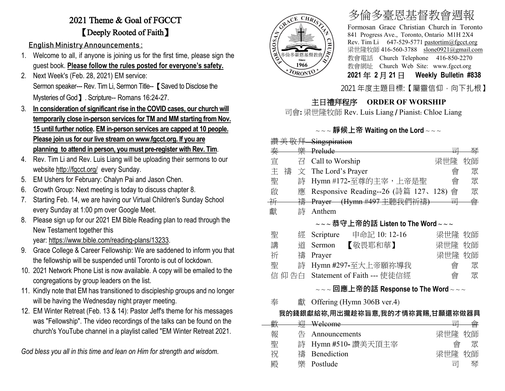## 2021 Theme & Goal of FGCCT 【Deeply Rooted of Faith】

English Ministry Announcements :

- 1. Welcome to all, if anyone is joining us for the first time, please sign the guest book. **Please follow the rules posted for everyone's safety.**
- 2. Next Week's (Feb. 28, 2021) EM service: Sermon speaker--- Rev. Tim Li, Sermon Title-- **[** Saved to Disclose the Mysteries of God】. Scripture-- Romans 16:24-27.
- 3. **In consideration of significant rise in the COVID cases, our church will temporarily close in-person services for TM and MM starting from Nov. 15 until further notice. EM in-person services are capped at 10 people. Please join us for our live stream o[n www.fgcct.org.](http://www.fgcct.org/) If you are planning to attend in person, you must pre-register with Rev. Tim**.
- 4. Rev. Tim Li and Rev. Luis Liang will be uploading their sermons to our website <http://fgcct.org/>every Sunday.
- 5. EM Ushers for February: Chalyn Pai and Jason Chen.
- 6. Growth Group: Next meeting is today to discuss chapter 8.
- 7. Starting Feb. 14, we are having our Virtual Children's Sunday School every Sunday at 1:00 pm over Google Meet.
- 8. Please sign up for our 2021 EM Bible Reading plan to read through the New Testament together this year: [https://www.bible.com/reading-plans/13233.](https://www.bible.com/reading-plans/13233)
- 9. Grace College & Career Fellowship: We are saddened to inform you that the fellowship will be suspended until Toronto is out of lockdown.
- 10. 2021 Network Phone List is now available. A copy will be emailed to the congregations by group leaders on the list.
- 11. Kindly note that EM has transitioned to discipleship groups and no longer will be having the Wednesday night prayer meeting.
- 12. EM Winter Retreat (Feb. 13 & 14): Pastor Jeff's theme for his messages was "Fellowship". The video recordings of the talks can be found on the church's YouTube channel in a playlist called "EM Winter Retreat 2021.

*God bless you all in this time and lean on Him for strength and wisdom.*



# 多倫多臺恩基督教會週報

Formosan Grace Christian Church in Toronto 841 Progress Ave., Toronto, Ontario M1H 2X4 Rev. Tim Li 647-529-5771 [pastortim@fgcct.org](mailto:pastortim@fgcct.org) 梁世隆牧師 416-560-3788 slone0921@gmail.com 教會電話 Church Telephone 416-850-2270 教會網址 Church Web Site: www.fgcct.org **2021** 年 **2** 月 **21** 日 **Weekly Bulletin #838** 

2021 年度主題目標:【屬靈信仰,向下扎根】

### 主日禮拜程序 **ORDER OF WORSHIP**

司會**:** 梁世隆牧師 Rev. Luis Liang / Pianist: Chloe Liang

#### ~ ~ ~ **靜候上帝 Waiting on the Lord** ~ ~ ~

|        |      | 讚美敬拜 Singspiration                     |        |    |
|--------|------|----------------------------------------|--------|----|
| 秦      |      | 樂 Prelude                              | 릐      | 琴  |
| 宣      | 끔    | Call to Worship                        | 梁世隆    | 牧師 |
| 主<br>禱 | 文    | The Lord's Prayer                      | 會      | 眾  |
| 聖      | 詩    | Hymn #172-至尊的主宰,上帝是聖                   | 會      | 眾  |
| 啟      | 應    | Responsive Reading--26 (詩篇 127、128)    | 會      | 眾  |
| 并      |      | <del>禱 Prayer (Hymn #497 主聽我們祈禱)</del> | 쿜      | 會  |
| 獻      | 詩    | Anthem                                 |        |    |
|        |      | $\sim$ ~恭守上帝的話 Listen to The Word~~~   |        |    |
| 聖      | 經    | Scripture 申命記 10: 12-16                | 梁世隆 牧師 |    |
| 講      | 道    | 【敬畏耶和華】<br>Sermon                      | 梁世隆    | 牧師 |
| 祈      | 禱    | Prayer                                 | 梁世隆    | 牧師 |
| 聖      | 詩    | Hymn #297-至大上帝願祢導我                     | 會      | 眾  |
|        | 仰 告白 | Statement of Faith --- 使徒信經            | 會      | 眾  |
|        |      | ┍┓ <del>ᇡ</del> ▗ <del>▖</del> ៸       |        |    |

#### ~ ~ ~ **回應上帝的話 Response to The Word** ~ ~ ~

奉 獻 Offering (Hymn 306B ver.4)

#### **我的錢銀獻給祢,用出攏趁祢旨意,我的才情祢賞賜,甘願還祢做器具**

| 壺  |   | Welcome            | $\overrightarrow{H}$ |   |
|----|---|--------------------|----------------------|---|
| 俚八 |   |                    |                      |   |
| 報  | 告 | Announcements      | 梁世隆 牧師               |   |
| 聖  |   | 詩 Hymn #510-讚美天頂主宰 | 會                    | 眾 |
| 祝  |   | 禱 Benediction      | 梁世隆 牧師               |   |
| 殿  |   | 樂 Postlude         | 豆                    | 琴 |